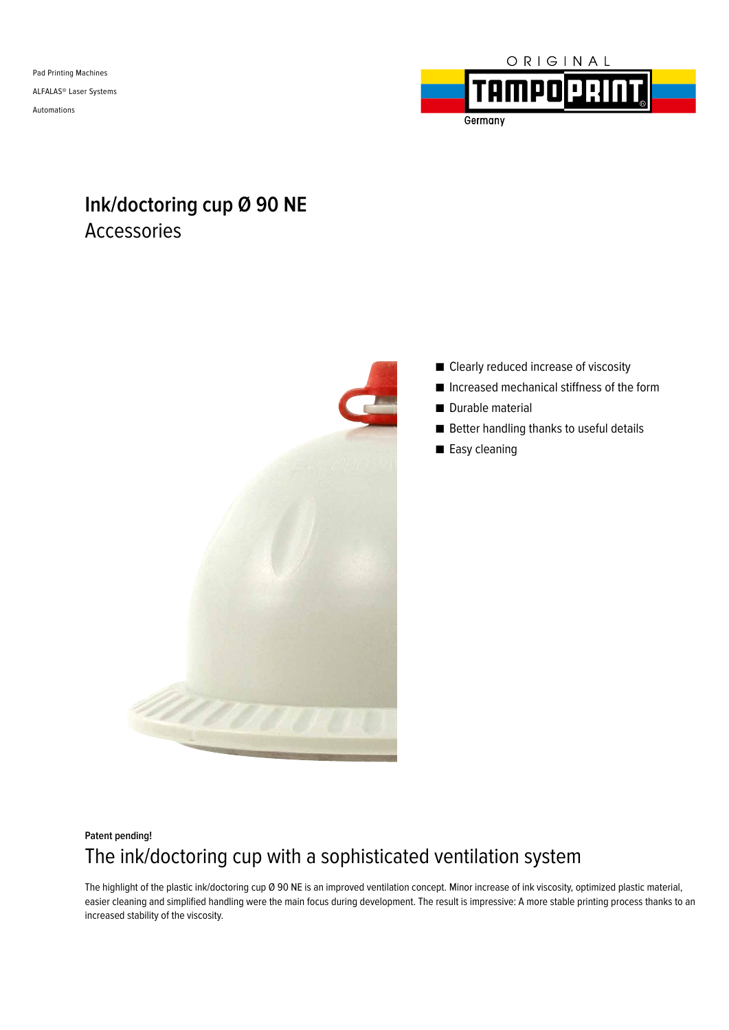Pad Printing Machines ALFALAS® Laser Systems Automations



# **Ink/doctoring cup Ø 90 NE** Accessories



- Clearly reduced increase of viscosity
- Increased mechanical stiffness of the form
- Durable material
- Better handling thanks to useful details
- Easy cleaning

## **Patent pending!** The ink/doctoring cup with a sophisticated ventilation system

The highlight of the plastic ink/doctoring cup Ø 90 NE is an improved ventilation concept. Minor increase of ink viscosity, optimized plastic material, easier cleaning and simplified handling were the main focus during development. The result is impressive: A more stable printing process thanks to an increased stability of the viscosity.